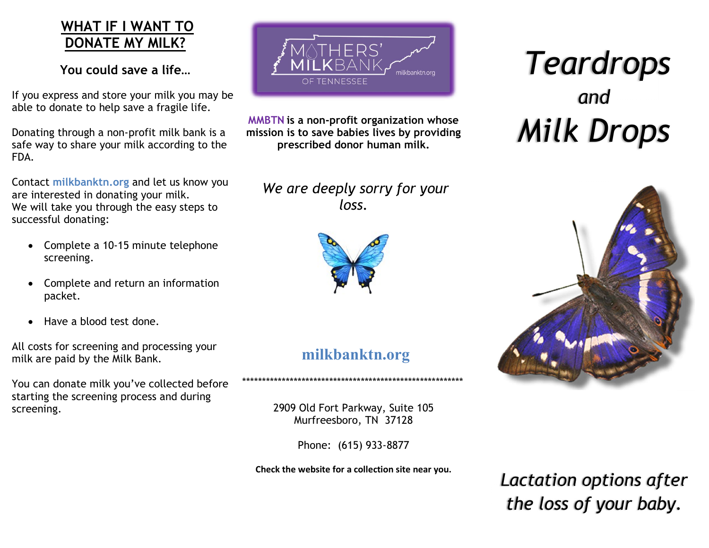## WHAT IF I WANT TO DONATE MY MILK?

You could save a life…

If you express and store your milk you may be able to donate to help save a fragile life.

Donating through a non-profit milk bank is a safe way to share your milk according to the FDA.

Contact milkbanktn.org and let us know you are interested in donating your milk. We will take you through the easy steps to successful donating:

- Complete a 10-15 minute telephone screening.
- Complete and return an information packet.
- Have a blood test done.

All costs for screening and processing your milk are paid by the Milk Bank.

You can donate milk you've collected before starting the screening process and during screening.



MMBTN is a non-profit organization whose mission is to save babies lives by providing prescribed donor human milk.

 We are deeply sorry for your loss.



# milkbanktn.org

\*\*\*\*\*\*\*\*\*\*\*\*\*\*\*\*\*\*\*\*\*\*\*\*\*\*\*\*\*\*\*\*\*\*\*\*\*\*\*\*\*\*\*\*\*\*\*\*\*\*\*\*\*\*\*\*

2909 Old Fort Parkway, Suite 105 Murfreesboro, TN 37128

Phone: (615) 933-8877

Check the website for a collection site near you.

# Teardrops and<br>Milk Drops



Lactation options after the loss of your baby.